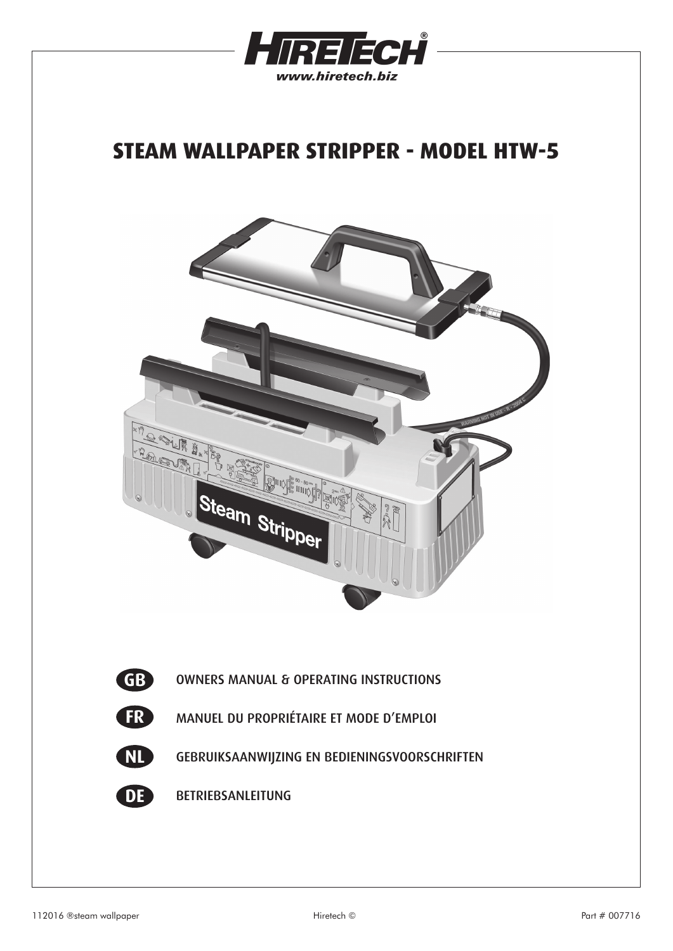

# **STEAM WALLPAPER STRIPPER - MODEL HTW-5**

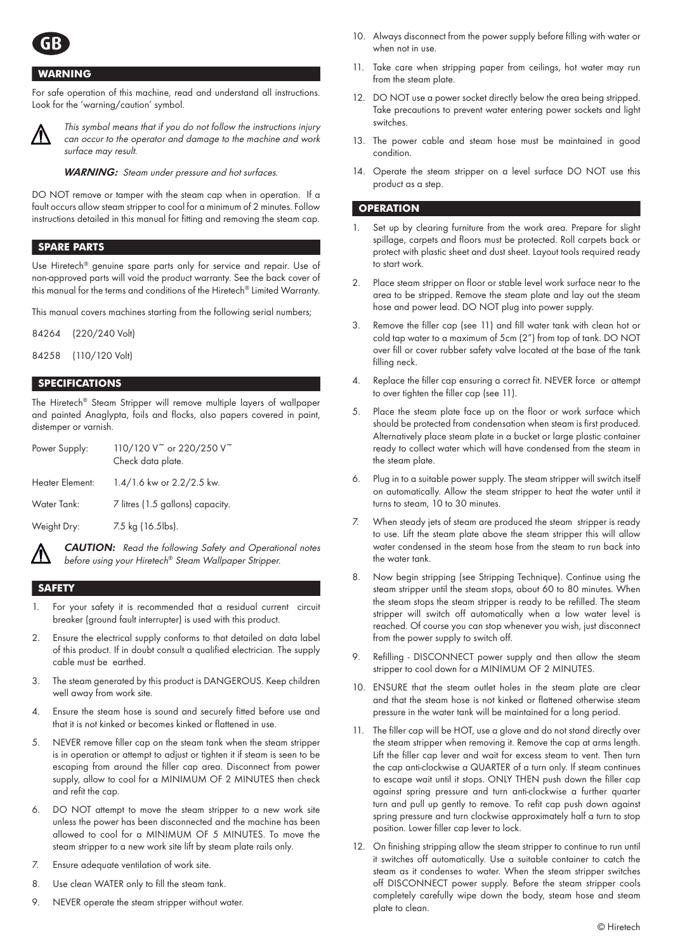

## **WARNING**

For safe operation of this machine, read and understand all instructions. Look for the 'warning/caution' symbol.



This symbol means that if you do not follow the instructions injury can occur to the operator and damage to the machine and work surface may result.

*WARNING:* Steam under pressure and hot surfaces.

DO NOT remove or tamper with the steam cap when in operation. If a fault occurs allow steam stripper to cool for a minimum of 2 minutes. Follow instructions detailed in this manual for fitting and removing the steam cap.

# **SPARE PARTS**

Use Hiretech® genuine spare parts only for service and repair. Use of non-approved parts will void the product warranty. See the back cover of this manual for the terms and conditions of the Hiretech® Limited Warranty.

This manual covers machines starting from the following serial numbers;

84264 (220/240 Volt)

84258 (110/120 Volt)

#### **SPECIFICATIONS**

The Hiretech® Steam Stripper will remove multiple layers of wallpaper and painted Anaglypta, foils and flocks, also papers covered in paint, distemper or varnish.

| Power Supply:   | 110/120 V <sup>~</sup> or 220/250 V <sup>~</sup><br>Check data plate. |
|-----------------|-----------------------------------------------------------------------|
| Heater Element: | 1.4/1.6 kw or 2.2/2.5 kw.                                             |
| Water Tank:     | 7 litres (1.5 gallons) capacity.                                      |
| Weight Dry:     | 7.5 kg (16.5lbs).                                                     |

CAUTION: Read the following Safety and Operational notes before using your Hiretech® Steam Wallpaper Stripper.

# **SAFETY**

- For your safety it is recommended that a residual current circuit breaker (ground fault interrupter) is used with this product.
- 2. Ensure the electrical supply conforms to that detailed on data label of this product. If in doubt consult a qualified electrician. The supply cable must be earthed.
- 3. The steam generated by this product is DANGEROUS. Keep children well away from work site.
- 4. Ensure the steam hose is sound and securely fitted before use and that it is not kinked or becomes kinked or flattened in use.
- 5. NEVER remove filler cap on the steam tank when the steam stripper is in operation or attempt to adjust or tighten it if steam is seen to be escaping from around the filler cap area. Disconnect from power supply, allow to cool for a MINIMUM OF 2 MINUTES then check and refit the cap.
- 6. DO NOT attempt to move the steam stripper to a new work site unless the power has been disconnected and the machine has been allowed to cool for a MINIMUM OF 5 MINUTES. To move the steam stripper to a new work site lift by steam plate rails only.
- 7. Ensure adequate ventilation of work site.
- 8. Use clean WATER only to fill the steam tank.
- 9. NEVER operate the steam stripper without water.
- 10. Always disconnect from the power supply before filling with water or when not in use.
- 11. Take care when stripping paper from ceilings, hot water may run from the steam plate.
- 12. DO NOT use a power socket directly below the area being stripped. Take precautions to prevent water entering power sockets and light switches.
- 13. The power cable and steam hose must be maintained in good condition.
- 14. Operate the steam stripper on a level surface DO NOT use this product as a step.

#### **OPERATION**

- Set up by clearing furniture from the work area. Prepare for slight spillage, carpets and floors must be protected. Roll carpets back or protect with plastic sheet and dust sheet. Layout tools required ready to start work.
- 2. Place steam stripper on floor or stable level work surface near to the area to be stripped. Remove the steam plate and lay out the steam hose and power lead. DO NOT plug into power supply.
- 3. Remove the filler cap (see 11) and fill water tank with clean hot or cold tap water to a maximum of 5cm (2") from top of tank. DO NOT over fill or cover rubber safety valve located at the base of the tank filling neck.
- 4. Replace the filler cap ensuring a correct fit. NEVER force or attempt to over tighten the filler cap (see 11).
- 5. Place the steam plate face up on the floor or work surface which should be protected from condensation when steam is first produced. Alternatively place steam plate in a bucket or large plastic container ready to collect water which will have condensed from the steam in the steam plate.
- 6. Plug in to a suitable power supply. The steam stripper will switch itself on automatically. Allow the steam stripper to heat the water until it turns to steam, 10 to 30 minutes.
- 7. When steady jets of steam are produced the steam stripper is ready to use. Lift the steam plate above the steam stripper this will allow water condensed in the steam hose from the steam to run back into the water tank.
- 8. Now begin stripping (see Stripping Technique). Continue using the steam stripper until the steam stops, about 60 to 80 minutes. When the steam stops the steam stripper is ready to be refilled. The steam stripper will switch off automatically when a low water level is reached. Of course you can stop whenever you wish, just disconnect from the power supply to switch off.
- 9. Refilling DISCONNECT power supply and then allow the steam stripper to cool down for a MINIMUM OF 2 MINUTES.
- 10. ENSURE that the steam outlet holes in the steam plate are clear and that the steam hose is not kinked or flattened otherwise steam pressure in the water tank will be maintained for a long period.
- 11. The filler cap will be HOT, use a glove and do not stand directly over the steam stripper when removing it. Remove the cap at arms length. Lift the filler cap lever and wait for excess steam to vent. Then turn the cap anti-clockwise a QUARTER of a turn only. If steam continues to escape wait until it stops. ONLY THEN push down the filler cap against spring pressure and turn anti-clockwise a further quarter turn and pull up gently to remove. To refit cap push down against spring pressure and turn clockwise approximately half a turn to stop position. Lower filler cap lever to lock.
- 12. On finishing stripping allow the steam stripper to continue to run until it switches off automatically. Use a suitable container to catch the steam as it condenses to water. When the steam stripper switches off DISCONNECT power supply. Before the steam stripper cools completely carefully wipe down the body, steam hose and steam plate to clean.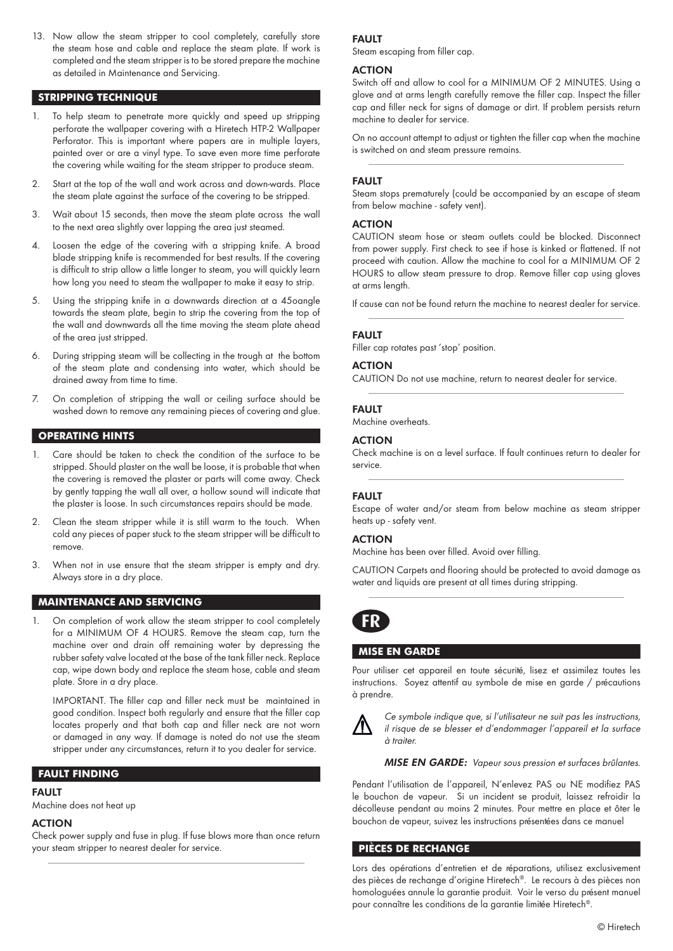13. Now allow the steam stripper to cool completely, carefully store the steam hose and cable and replace the steam plate. If work is completed and the steam stripper is to be stored prepare the machine as detailed in Maintenance and Servicing.

## **STRIPPING TECHNIQUE**

- To help steam to penetrate more quickly and speed up stripping perforate the wallpaper covering with a Hiretech HTP-2 Wallpaper Perforator. This is important where papers are in multiple layers, painted over or are a vinyl type. To save even more time perforate the covering while waiting for the steam stripper to produce steam.
- 2. Start at the top of the wall and work across and down-wards. Place the steam plate against the surface of the covering to be stripped.
- 3. Wait about 15 seconds, then move the steam plate across the wall to the next area slightly over lapping the area just steamed.
- 4. Loosen the edge of the covering with a stripping knife. A broad blade stripping knife is recommended for best results. If the covering is difficult to strip allow a little longer to steam, you will quickly learn how long you need to steam the wallpaper to make it easy to strip.
- 5. Using the stripping knife in a downwards direction at a 45oangle towards the steam plate, begin to strip the covering from the top of the wall and downwards all the time moving the steam plate ahead of the area just stripped.
- 6. During stripping steam will be collecting in the trough at the bottom of the steam plate and condensing into water, which should be drained away from time to time.
- 7. On completion of stripping the wall or ceiling surface should be washed down to remove any remaining pieces of covering and glue.

## **OPERATING HINTS**

- Care should be taken to check the condition of the surface to be stripped. Should plaster on the wall be loose, it is probable that when the covering is removed the plaster or parts will come away. Check by gently tapping the wall all over, a hollow sound will indicate that the plaster is loose. In such circumstances repairs should be made.
- 2. Clean the steam stripper while it is still warm to the touch. When cold any pieces of paper stuck to the steam stripper will be difficult to remove.
- 3. When not in use ensure that the steam stripper is empty and dry. Always store in a dry place.

#### **MAINTENANCE AND SERVICING**

On completion of work allow the steam stripper to cool completely for a MINIMUM OF 4 HOURS. Remove the steam cap, turn the machine over and drain off remaining water by depressing the rubber safety valve located at the base of the tank filler neck. Replace cap, wipe down body and replace the steam hose, cable and steam plate. Store in a dry place.

 IMPORTANT. The filler cap and filler neck must be maintained in good condition. Inspect both regularly and ensure that the filler cap locates properly and that both cap and filler neck are not worn or damaged in any way. If damage is noted do not use the steam stripper under any circumstances, return it to you dealer for service.

#### **FAULT FINDING**

# FAULT

Machine does not heat up

# ACTION

Check power supply and fuse in plug. If fuse blows more than once return your steam stripper to nearest dealer for service.

#### FAULT

Steam escaping from filler cap.

# ACTION

Switch off and allow to cool for a MINIMUM OF 2 MINUTES. Using a glove and at arms length carefully remove the filler cap. Inspect the filler cap and filler neck for signs of damage or dirt. If problem persists return machine to dealer for service.

On no account attempt to adjust or tighten the filler cap when the machine is switched on and steam pressure remains.

#### **FAULT**

Steam stops prematurely (could be accompanied by an escape of steam from below machine - safety vent).

#### ACTION

CAUTION steam hose or steam outlets could be blocked. Disconnect from power supply. First check to see if hose is kinked or flattened. If not proceed with caution. Allow the machine to cool for a MINIMUM OF 2 HOURS to allow steam pressure to drop. Remove filler cap using gloves at arms length.

If cause can not be found return the machine to nearest dealer for service.

## FAULT

Filler cap rotates past 'stop' position.

# ACTION

CAUTION Do not use machine, return to nearest dealer for service.

## FAULT

Machine overheats.

## ACTION

Check machine is on a level surface. If fault continues return to dealer for service.

## **FAULT**

Escape of water and/or steam from below machine as steam stripper heats up - safety vent.

## ACTION

Machine has been over filled. Avoid over filling.

CAUTION Carpets and flooring should be protected to avoid damage as water and liquids are present at all times during stripping.



## **MISE EN GARDE**

Pour utiliser cet appareil en toute sécurité, lisez et assimilez toutes les instructions. Soyez attentif au symbole de mise en garde / précautions à prendre.



Ce symbole indique que, si l'utilisateur ne suit pas les instructions, il risque de se blesser et d'endommager l'appareil et la surface à traiter.

MISE EN GARDE: Vapeur sous pression et surfaces brûlantes.

Pendant l'utilisation de l'appareil, N'enlevez PAS ou NE modifiez PAS le bouchon de vapeur. Si un incident se produit, laissez refroidir la décolleuse pendant au moins 2 minutes. Pour mettre en place et ôter le bouchon de vapeur, suivez les instructions présentées dans ce manuel

## **PIÈCES DE RECHANGE**

Lors des opérations d'entretien et de réparations, utilisez exclusivement des pièces de rechange d'origine Hiretech®. Le recours à des pièces non homologuées annule la garantie produit. Voir le verso du présent manuel pour connaître les conditions de la garantie limitée Hiretech®.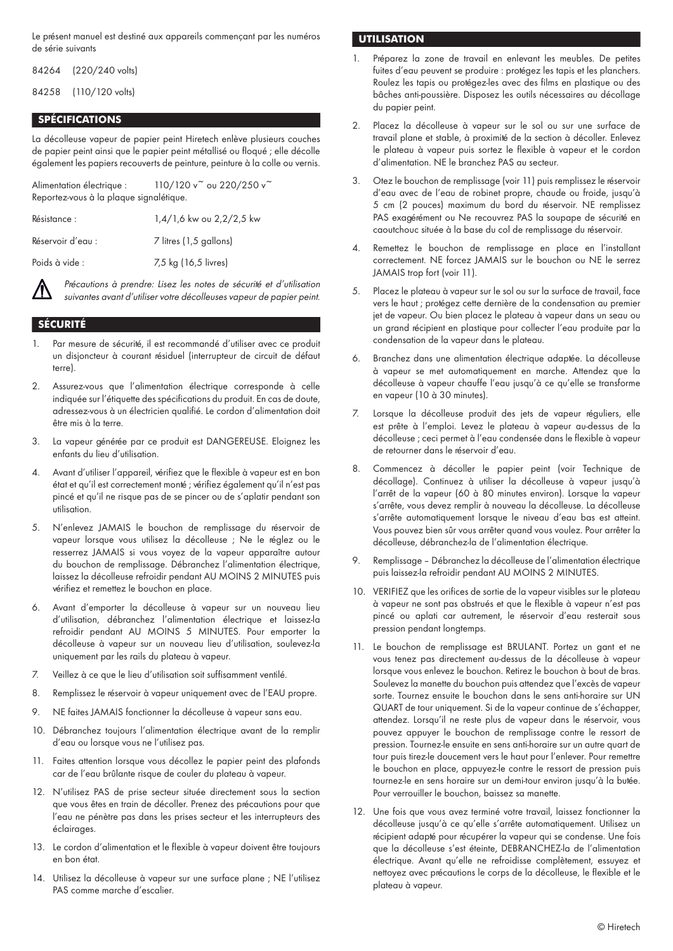Le présent manuel est destiné aux appareils commençant par les numéros de série suivants

84264 (220/240 volts)

84258 (110/120 volts)

# **SPÉCIFICATIONS**

La décolleuse vapeur de papier peint Hiretech enlève plusieurs couches de papier peint ainsi que le papier peint métallisé ou floqué ; elle décolle également les papiers recouverts de peinture, peinture à la colle ou vernis.

Alimentation électrique :  $110/120v^2$  ou 220/250  $v^2$ Reportez-vous à la plaque signalétique.

Résistance : 1,4/1,6 kw ou 2,2/2,5 kw Réservoir d'eau : 7 litres (1,5 gallons) Poids à vide : 7,5 kg (16,5 livres)

Précautions à prendre: Lisez les notes de sécurité et d'utilisation suivantes avant d'utiliser votre décolleuses vapeur de papier peint.

## **SÉCURITÉ**

- Par mesure de sécurité, il est recommandé d'utiliser avec ce produit un disjoncteur à courant résiduel (interrupteur de circuit de défaut terre).
- 2. Assurez-vous que l'alimentation électrique corresponde à celle indiquée sur l'étiquette des spécifications du produit. En cas de doute, adressez-vous à un électricien qualifié. Le cordon d'alimentation doit être mis à la terre.
- 3. La vapeur générée par ce produit est DANGEREUSE. Éloignez les enfants du lieu d'utilisation.
- 4. Avant d'utiliser l'appareil, vérifiez que le flexible à vapeur est en bon état et qu'il est correctement monté ; vérifiez également qu'il n'est pas pincé et qu'il ne risque pas de se pincer ou de s'aplatir pendant son utilisation.
- 5. N'enlevez JAMAIS le bouchon de remplissage du réservoir de vapeur lorsque vous utilisez la décolleuse ; Ne le réglez ou le resserrez JAMAIS si vous voyez de la vapeur apparaître autour du bouchon de remplissage. Débranchez l'alimentation électrique, laissez la décolleuse refroidir pendant AU MOINS 2 MINUTES puis vérifiez et remettez le bouchon en place.
- 6. Avant d'emporter la décolleuse à vapeur sur un nouveau lieu d'utilisation, débranchez l'alimentation électrique et laissez-la refroidir pendant AU MOINS 5 MINUTES. Pour emporter la décolleuse à vapeur sur un nouveau lieu d'utilisation, soulevez-la uniquement par les rails du plateau à vapeur.
- 7. Veillez à ce que le lieu d'utilisation soit suffisamment ventilé.
- 8. Remplissez le réservoir à vapeur uniquement avec de l'EAU propre.
- 9. NE faites JAMAIS fonctionner la décolleuse à vapeur sans eau.
- 10. Débranchez toujours l'alimentation électrique avant de la remplir d'eau ou lorsque vous ne l'utilisez pas.
- 11. Faites attention lorsque vous décollez le papier peint des plafonds car de l'eau brûlante risque de couler du plateau à vapeur.
- 12. N'utilisez PAS de prise secteur située directement sous la section que vous êtes en train de décoller. Prenez des précautions pour que l'eau ne pénètre pas dans les prises secteur et les interrupteurs des éclairages.
- 13. Le cordon d'alimentation et le flexible à vapeur doivent être toujours en bon état.
- 14. Utilisez la décolleuse à vapeur sur une surface plane ; NE l'utilisez PAS comme marche d'escalier.

## **UTILISATION**

- 1. Préparez la zone de travail en enlevant les meubles. De petites fuites d'eau peuvent se produire : protégez les tapis et les planchers. Roulez les tapis ou protégez-les avec des films en plastique ou des bâches anti-poussière. Disposez les outils nécessaires au décollage du papier peint.
- 2. Placez la décolleuse à vapeur sur le sol ou sur une surface de travail plane et stable, à proximité de la section à décoller. Enlevez le plateau à vapeur puis sortez le flexible à vapeur et le cordon d'alimentation. NE le branchez PAS au secteur.
- 3. Ôtez le bouchon de remplissage (voir 11) puis remplissez le réservoir d'eau avec de l'eau de robinet propre, chaude ou froide, jusqu'à 5 cm (2 pouces) maximum du bord du réservoir. NE remplissez PAS exagérément ou Ne recouvrez PAS la soupape de sécurité en caoutchouc située à la base du col de remplissage du réservoir.
- 4. Remettez le bouchon de remplissage en place en l'installant correctement. NE forcez JAMAIS sur le bouchon ou NE le serrez JAMAIS trop fort (voir 11).
- 5. Placez le plateau à vapeur sur le sol ou sur la surface de travail, face vers le haut ; protégez cette dernière de la condensation au premier jet de vapeur. Ou bien placez le plateau à vapeur dans un seau ou un grand récipient en plastique pour collecter l'eau produite par la condensation de la vapeur dans le plateau.
- 6. Branchez dans une alimentation électrique adaptée. La décolleuse à vapeur se met automatiquement en marche. Attendez que la décolleuse à vapeur chauffe l'eau jusqu'à ce qu'elle se transforme en vapeur (10 à 30 minutes).
- 7. Lorsque la décolleuse produit des jets de vapeur réguliers, elle est prête à l'emploi. Levez le plateau à vapeur au-dessus de la décolleuse ; ceci permet à l'eau condensée dans le flexible à vapeur de retourner dans le réservoir d'eau.
- 8. Commencez à décoller le papier peint (voir Technique de décollage). Continuez à utiliser la décolleuse à vapeur jusqu'à l'arrêt de la vapeur (60 à 80 minutes environ). Lorsque la vapeur s'arrête, vous devez remplir à nouveau la décolleuse. La décolleuse s'arrête automatiquement lorsque le niveau d'eau bas est atteint. Vous pouvez bien sûr vous arrêter quand vous voulez. Pour arrêter la décolleuse, débranchez-la de l'alimentation électrique.
- 9. Remplissage Débranchez la décolleuse de l'alimentation électrique puis laissez-la refroidir pendant AU MOINS 2 MINUTES.
- 10. VÉRIFIEZ que les orifices de sortie de la vapeur visibles sur le plateau à vapeur ne sont pas obstrués et que le flexible à vapeur n'est pas pincé ou aplati car autrement, le réservoir d'eau resterait sous pression pendant longtemps.
- 11. Le bouchon de remplissage est BRULANT. Portez un gant et ne vous tenez pas directement au-dessus de la décolleuse à vapeur lorsque vous enlevez le bouchon. Retirez le bouchon à bout de bras. Soulevez la manette du bouchon puis attendez que l'excès de vapeur sorte. Tournez ensuite le bouchon dans le sens anti-horaire sur UN QUART de tour uniquement. Si de la vapeur continue de s'échapper, attendez. Lorsqu'il ne reste plus de vapeur dans le réservoir, vous pouvez appuyer le bouchon de remplissage contre le ressort de pression. Tournez-le ensuite en sens anti-horaire sur un autre quart de tour puis tirez-le doucement vers le haut pour l'enlever. Pour remettre le bouchon en place, appuyez-le contre le ressort de pression puis tournez-le en sens horaire sur un demi-tour environ jusqu'à la butée. Pour verrouiller le bouchon, baissez sa manette.
- 12. Une fois que vous avez terminé votre travail, laissez fonctionner la décolleuse jusqu'à ce qu'elle s'arrête automatiquement. Utilisez un récipient adapté pour récupérer la vapeur qui se condense. Une fois que la décolleuse s'est éteinte, DÉBRANCHEZ-la de l'alimentation électrique. Avant qu'elle ne refroidisse complètement, essuyez et nettoyez avec précautions le corps de la décolleuse, le flexible et le plateau à vapeur.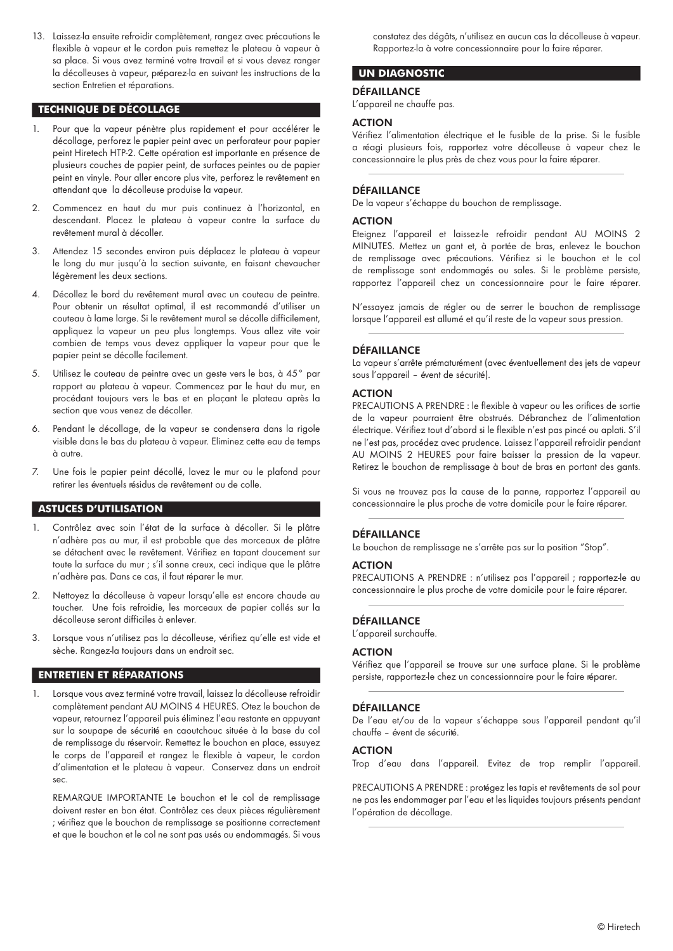13. Laissez-la ensuite refroidir complètement, rangez avec précautions le flexible à vapeur et le cordon puis remettez le plateau à vapeur à sa place. Si vous avez terminé votre travail et si vous devez ranger la décolleuses à vapeur, préparez-la en suivant les instructions de la section Entretien et réparations.

## **TECHNIQUE DE DÉCOLLAGE**

- 1. Pour que la vapeur pénètre plus rapidement et pour accélérer le décollage, perforez le papier peint avec un perforateur pour papier peint Hiretech HTP-2. Cette opération est importante en présence de plusieurs couches de papier peint, de surfaces peintes ou de papier peint en vinyle. Pour aller encore plus vite, perforez le revêtement en attendant que la décolleuse produise la vapeur.
- 2. Commencez en haut du mur puis continuez à l'horizontal, en descendant. Placez le plateau à vapeur contre la surface du revêtement mural à décoller.
- 3. Attendez 15 secondes environ puis déplacez le plateau à vapeur le long du mur jusqu'à la section suivante, en faisant chevaucher légèrement les deux sections.
- 4. Décollez le bord du revêtement mural avec un couteau de peintre. Pour obtenir un résultat optimal, il est recommandé d'utiliser un couteau à lame large. Si le revêtement mural se décolle difficilement, appliquez la vapeur un peu plus longtemps. Vous allez vite voir combien de temps vous devez appliquer la vapeur pour que le papier peint se décolle facilement.
- 5. Utilisez le couteau de peintre avec un geste vers le bas, à 45° par rapport au plateau à vapeur. Commencez par le haut du mur, en procédant toujours vers le bas et en plaçant le plateau après la section que vous venez de décoller.
- 6. Pendant le décollage, de la vapeur se condensera dans la rigole visible dans le bas du plateau à vapeur. Éliminez cette eau de temps à autre.
- 7. Une fois le papier peint décollé, lavez le mur ou le plafond pour retirer les éventuels résidus de revêtement ou de colle.

## **ASTUCES D'UTILISATION**

- 1. Contrôlez avec soin l'état de la surface à décoller. Si le plâtre n'adhère pas au mur, il est probable que des morceaux de plâtre se détachent avec le revêtement. Vérifiez en tapant doucement sur toute la surface du mur ; s'il sonne creux, ceci indique que le plâtre n'adhère pas. Dans ce cas, il faut réparer le mur.
- 2. Nettoyez la décolleuse à vapeur lorsqu'elle est encore chaude au toucher. Une fois refroidie, les morceaux de papier collés sur la décolleuse seront difficiles à enlever.
- 3. Lorsque vous n'utilisez pas la décolleuse, vérifiez qu'elle est vide et sèche. Rangez-la toujours dans un endroit sec.

# **ENTRETIEN ET RÉPARATIONS**

1. Lorsque vous avez terminé votre travail, laissez la décolleuse refroidir complètement pendant AU MOINS 4 HEURES. Ôtez le bouchon de vapeur, retournez l'appareil puis éliminez l'eau restante en appuyant sur la soupape de sécurité en caoutchouc située à la base du col de remplissage du réservoir. Remettez le bouchon en place, essuyez le corps de l'appareil et rangez le flexible à vapeur, le cordon d'alimentation et le plateau à vapeur. Conservez dans un endroit sec.

 REMARQUE IMPORTANTE Le bouchon et le col de remplissage doivent rester en bon état. Contrôlez ces deux pièces régulièrement ; vérifiez que le bouchon de remplissage se positionne correctement et que le bouchon et le col ne sont pas usés ou endommagés. Si vous

constatez des dégâts, n'utilisez en aucun cas la décolleuse à vapeur. Rapportez-la à votre concessionnaire pour la faire réparer.

# **UN DIAGNOSTIC**

#### **DÉFAILLANCE**

L'appareil ne chauffe pas.

#### ACTION

Vérifiez l'alimentation électrique et le fusible de la prise. Si le fusible a réagi plusieurs fois, rapportez votre décolleuse à vapeur chez le concessionnaire le plus près de chez vous pour la faire réparer.

## DÉFAILLANCE

De la vapeur s'échappe du bouchon de remplissage.

#### ACTION

Éteignez l'appareil et laissez-le refroidir pendant AU MOINS 2 MINUTES. Mettez un gant et, à portée de bras, enlevez le bouchon de remplissage avec précautions. Vérifiez si le bouchon et le col de remplissage sont endommagés ou sales. Si le problème persiste, rapportez l'appareil chez un concessionnaire pour le faire réparer.

N'essayez jamais de régler ou de serrer le bouchon de remplissage lorsque l'appareil est allumé et qu'il reste de la vapeur sous pression.

## DÉFAILLANCE

La vapeur s'arrête prématurément (avec éventuellement des jets de vapeur sous l'appareil - évent de sécurité).

#### ACTION

PRÉCAUTIONS A PRENDRE : le flexible à vapeur ou les orifices de sortie de la vapeur pourraient être obstrués. Débranchez de l'alimentation électrique. Vérifiez tout d'abord si le flexible n'est pas pincé ou aplati. S'il ne l'est pas, procédez avec prudence. Laissez l'appareil refroidir pendant AU MOINS 2 HEURES pour faire baisser la pression de la vapeur. Retirez le bouchon de remplissage à bout de bras en portant des gants.

Si vous ne trouvez pas la cause de la panne, rapportez l'appareil au concessionnaire le plus proche de votre domicile pour le faire réparer.

#### **DÉFAILLANCE**

Le bouchon de remplissage ne s'arrête pas sur la position "Stop".

#### **ACTION**

PRÉCAUTIONS A PRENDRE : n'utilisez pas l'appareil ; rapportez-le au concessionnaire le plus proche de votre domicile pour le faire réparer.

#### **DÉFAILLANCE**

L'appareil surchauffe.

## ACTION

Vérifiez que l'appareil se trouve sur une surface plane. Si le problème persiste, rapportez-le chez un concessionnaire pour le faire réparer.

## DÉFAILLANCE

De l'eau et/ou de la vapeur s'échappe sous l'appareil pendant qu'il chauffe - évent de sécurité.

## ACTION

Trop d'eau dans l'appareil. Évitez de trop remplir l'appareil.

PRECAUTIONS A PRENDRE : protégez les tapis et revêtements de sol pour ne pas les endommager par l'eau et les liquides toujours présents pendant l'opération de décollage.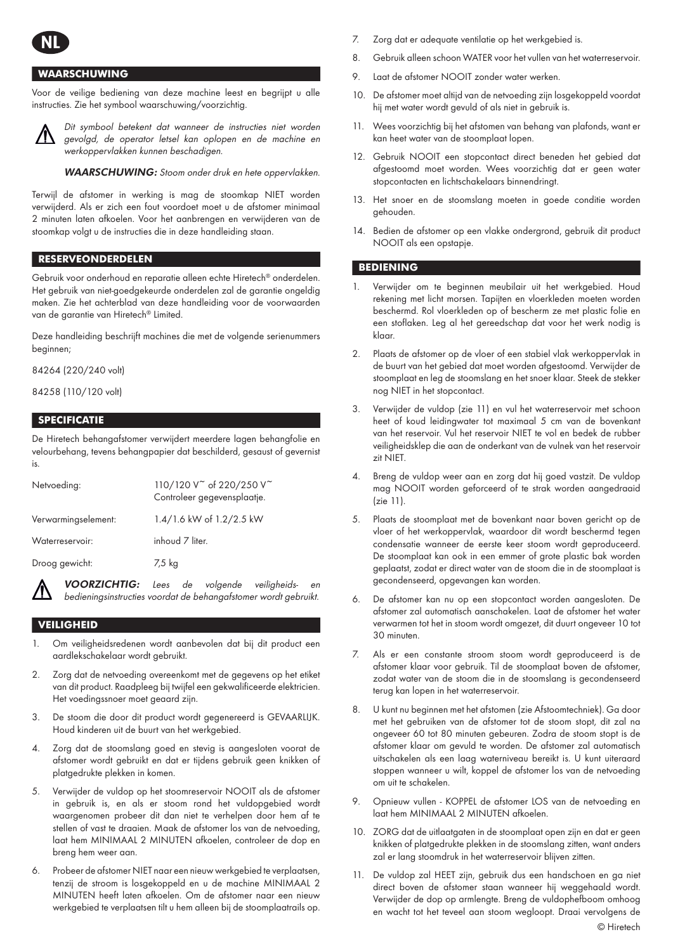

# **WAARSCHUWING**

Voor de veilige bediening van deze machine leest en begrijpt u alle instructies. Zie het symbool waarschuwing/voorzichtig.



Dit symbool betekent dat wanneer de instructies niet worden gevolgd, de operator letsel kan oplopen en de machine en werkoppervlakken kunnen beschadigen.

WAARSCHUWING: Stoom onder druk en hete oppervlakken.

Terwijl de afstomer in werking is mag de stoomkap NIET worden verwijderd. Als er zich een fout voordoet moet u de afstomer minimaal 2 minuten laten afkoelen. Voor het aanbrengen en verwijderen van de stoomkap volgt u de instructies die in deze handleiding staan.

## **RESERVEONDERDELEN**

Gebruik voor onderhoud en reparatie alleen echte Hiretech® onderdelen. Het gebruik van niet-goedgekeurde onderdelen zal de garantie ongeldig maken. Zie het achterblad van deze handleiding voor de voorwaarden van de garantie van Hiretech® Limited.

Deze handleiding beschrijft machines die met de volgende serienummers beginnen;

84264 (220/240 volt)

84258 (110/120 volt)

# **SPECIFICATIE**

De Hiretech behangafstomer verwijdert meerdere lagen behangfolie en velourbehang, tevens behangpapier dat beschilderd, gesaust of gevernist is.

| Netvoeding:         | 110/120 V of 220/250 V<br>Controleer gegevensplaatje. |
|---------------------|-------------------------------------------------------|
| Verwarmingselement: | 1.4/1.6 kW of 1.2/2.5 kW                              |
| Waterreservoir:     | inhoud 7 liter.                                       |
| Droog gewicht:      | 7,5 kg                                                |
|                     |                                                       |

VOORZICHTIG: Lees de volgende veiligheids- en bedieningsinstructies voordat de behangafstomer wordt gebruikt.

# **VEILIGHEID**

- 1. Om veiligheidsredenen wordt aanbevolen dat bij dit product een aardlekschakelaar wordt gebruikt.
- 2. Zorg dat de netvoeding overeenkomt met de gegevens op het etiket van dit product. Raadpleeg bij twijfel een gekwalificeerde elektricien. Het voedingssnoer moet geaard zijn.
- 3. De stoom die door dit product wordt gegenereerd is GEVAARLIJK. Houd kinderen uit de buurt van het werkgebied.
- 4. Zorg dat de stoomslang goed en stevig is aangesloten voorat de afstomer wordt gebruikt en dat er tijdens gebruik geen knikken of platgedrukte plekken in komen.
- 5. Verwijder de vuldop op het stoomreservoir NOOIT als de afstomer in gebruik is, en als er stoom rond het vuldopgebied wordt waargenomen probeer dit dan niet te verhelpen door hem af te stellen of vast te draaien. Maak de afstomer los van de netvoeding, laat hem MINIMAAL 2 MINUTEN afkoelen, controleer de dop en breng hem weer aan.
- 6. Probeer de afstomer NIET naar een nieuw werkgebied te verplaatsen, tenzij de stroom is losgekoppeld en u de machine MINIMAAL 2 MINUTEN heeft laten afkoelen. Om de afstomer naar een nieuw werkgebied te verplaatsen tilt u hem alleen bij de stoomplaatrails op.
- **NL** 7. Zorg dat er adequate ventilatie op het werkgebied is.
- 8. Gebruik alleen schoon WATER voor het vullen van het waterreservoir.
- 9. Laat de afstomer NOOIT zonder water werken.
- 10. De afstomer moet altijd van de netvoeding zijn losgekoppeld voordat hij met water wordt gevuld of als niet in gebruik is.
- 11. Wees voorzichtig bij het afstomen van behang van plafonds, want er kan heet water van de stoomplaat lopen.
- 12. Gebruik NOOIT een stopcontact direct beneden het gebied dat afgestoomd moet worden. Wees voorzichtig dat er geen water stopcontacten en lichtschakelaars binnendringt.
- 13. Het snoer en de stoomslang moeten in goede conditie worden gehouden.
- 14. Bedien de afstomer op een vlakke ondergrond, gebruik dit product NOOIT als een opstapje.

# **BEDIENING**

- 1. Verwijder om te beginnen meubilair uit het werkgebied. Houd rekening met licht morsen. Tapijten en vloerkleden moeten worden beschermd. Rol vloerkleden op of bescherm ze met plastic folie en een stoflaken. Leg al het gereedschap dat voor het werk nodig is klaar.
- 2. Plaats de afstomer op de vloer of een stabiel vlak werkoppervlak in de buurt van het gebied dat moet worden afgestoomd. Verwijder de stoomplaat en leg de stoomslang en het snoer klaar. Steek de stekker nog NIET in het stopcontact.
- 3. Verwijder de vuldop (zie 11) en vul het waterreservoir met schoon heet of koud leidingwater tot maximaal 5 cm van de bovenkant van het reservoir. Vul het reservoir NIET te vol en bedek de rubber veiligheidsklep die aan de onderkant van de vulnek van het reservoir zit NIET.
- 4. Breng de vuldop weer aan en zorg dat hij goed vastzit. De vuldop mag NOOIT worden geforceerd of te strak worden aangedraaid (zie 11).
- 5. Plaats de stoomplaat met de bovenkant naar boven gericht op de vloer of het werkoppervlak, waardoor dit wordt beschermd tegen condensatie wanneer de eerste keer stoom wordt geproduceerd. De stoomplaat kan ook in een emmer of grote plastic bak worden geplaatst, zodat er direct water van de stoom die in de stoomplaat is gecondenseerd, opgevangen kan worden.
- 6. De afstomer kan nu op een stopcontact worden aangesloten. De afstomer zal automatisch aanschakelen. Laat de afstomer het water verwarmen tot het in stoom wordt omgezet, dit duurt ongeveer 10 tot 30 minuten.
- 7. Als er een constante stroom stoom wordt geproduceerd is de afstomer klaar voor gebruik. Til de stoomplaat boven de afstomer, zodat water van de stoom die in de stoomslang is gecondenseerd terug kan lopen in het waterreservoir.
- 8. U kunt nu beginnen met het afstomen (zie Afstoomtechniek). Ga door met het gebruiken van de afstomer tot de stoom stopt, dit zal na ongeveer 60 tot 80 minuten gebeuren. Zodra de stoom stopt is de afstomer klaar om gevuld te worden. De afstomer zal automatisch uitschakelen als een laag waterniveau bereikt is. U kunt uiteraard stoppen wanneer u wilt, koppel de afstomer los van de netvoeding om uit te schakelen.
- 9. Opnieuw vullen KOPPEL de afstomer LOS van de netvoeding en laat hem MINIMAAL 2 MINUTEN afkoelen.
- 10. ZORG dat de uitlaatgaten in de stoomplaat open zijn en dat er geen knikken of platgedrukte plekken in de stoomslang zitten, want anders zal er lang stoomdruk in het waterreservoir blijven zitten.
- 11. De vuldop zal HEET zijn, gebruik dus een handschoen en ga niet direct boven de afstomer staan wanneer hij weggehaald wordt. Verwijder de dop op armlengte. Breng de vuldophefboom omhoog en wacht tot het teveel aan stoom wegloopt. Draai vervolgens de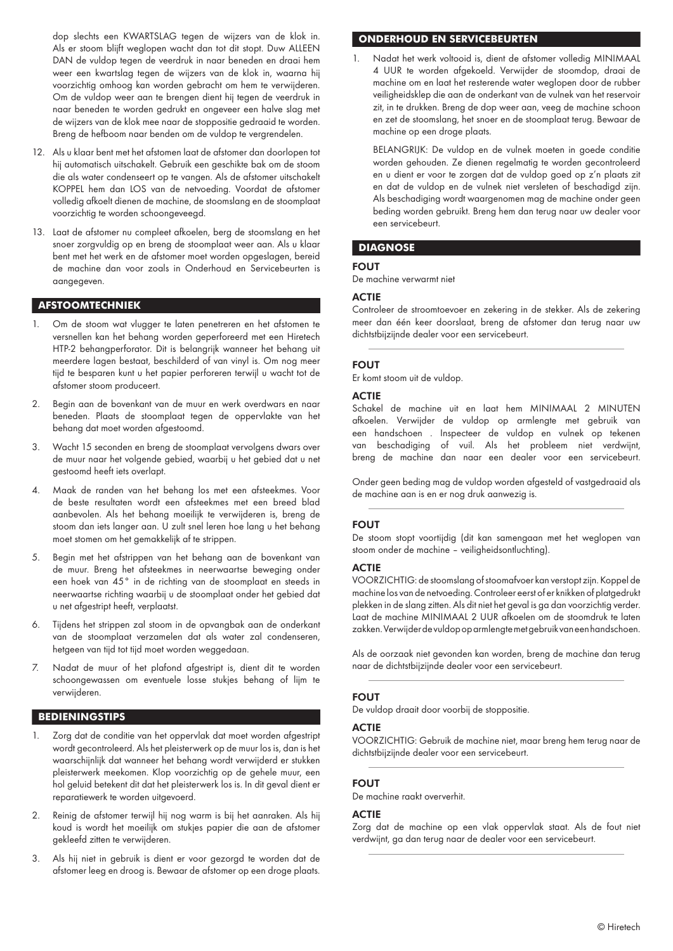dop slechts een KWARTSLAG tegen de wijzers van de klok in. Als er stoom blijft weglopen wacht dan tot dit stopt. Duw ALLEEN DAN de vuldop tegen de veerdruk in naar beneden en draai hem weer een kwartslag tegen de wijzers van de klok in, waarna hij voorzichtig omhoog kan worden gebracht om hem te verwijderen. Om de vuldop weer aan te brengen dient hij tegen de veerdruk in naar beneden te worden gedrukt en ongeveer een halve slag met de wijzers van de klok mee naar de stoppositie gedraaid te worden. Breng de hefboom naar benden om de vuldop te vergrendelen.

- 12. Als u klaar bent met het afstomen laat de afstomer dan doorlopen tot hij automatisch uitschakelt. Gebruik een geschikte bak om de stoom die als water condenseert op te vangen. Als de afstomer uitschakelt KOPPEL hem dan LOS van de netvoeding. Voordat de afstomer volledig afkoelt dienen de machine, de stoomslang en de stoomplaat voorzichtig te worden schoongeveegd.
- 13. Laat de afstomer nu compleet afkoelen, berg de stoomslang en het snoer zorgvuldig op en breng de stoomplaat weer aan. Als u klaar bent met het werk en de afstomer moet worden opgeslagen, bereid de machine dan voor zoals in Onderhoud en Servicebeurten is aangegeven.

## **AFSTOOMTECHNIEK**

- 1. Om de stoom wat vlugger te laten penetreren en het afstomen te versnellen kan het behang worden geperforeerd met een Hiretech HTP-2 behangperforator. Dit is belangrijk wanneer het behang uit meerdere lagen bestaat, beschilderd of van vinyl is. Om nog meer tijd te besparen kunt u het papier perforeren terwijl u wacht tot de afstomer stoom produceert.
- 2. Begin aan de bovenkant van de muur en werk overdwars en naar beneden. Plaats de stoomplaat tegen de oppervlakte van het behang dat moet worden afgestoomd.
- 3. Wacht 15 seconden en breng de stoomplaat vervolgens dwars over de muur naar het volgende gebied, waarbij u het gebied dat u net gestoomd heeft iets overlapt.
- 4. Maak de randen van het behang los met een afsteekmes. Voor de beste resultaten wordt een afsteekmes met een breed blad aanbevolen. Als het behang moeilijk te verwijderen is, breng de stoom dan iets langer aan. U zult snel leren hoe lang u het behang moet stomen om het gemakkelijk af te strippen.
- 5. Begin met het afstrippen van het behang aan de bovenkant van de muur. Breng het afsteekmes in neerwaartse beweging onder een hoek van 45° in de richting van de stoomplaat en steeds in neerwaartse richting waarbij u de stoomplaat onder het gebied dat u net afgestript heeft, verplaatst.
- 6. Tijdens het strippen zal stoom in de opvangbak aan de onderkant van de stoomplaat verzamelen dat als water zal condenseren, hetgeen van tijd tot tijd moet worden weggedaan.
- 7. Nadat de muur of het plafond afgestript is, dient dit te worden schoongewassen om eventuele losse stukjes behang of lijm te verwijderen.

#### **BEDIENINGSTIPS**

- 1. Zorg dat de conditie van het oppervlak dat moet worden afgestript wordt gecontroleerd. Als het pleisterwerk op de muur los is, dan is het waarschijnlijk dat wanneer het behang wordt verwijderd er stukken pleisterwerk meekomen. Klop voorzichtig op de gehele muur, een hol geluid betekent dit dat het pleisterwerk los is. In dit geval dient er reparatiewerk te worden uitgevoerd.
- 2. Reinig de afstomer terwijl hij nog warm is bij het aanraken. Als hij koud is wordt het moeilijk om stukjes papier die aan de afstomer gekleefd zitten te verwijderen.
- 3. Als hij niet in gebruik is dient er voor gezorgd te worden dat de afstomer leeg en droog is. Bewaar de afstomer op een droge plaats.

## **ONDERHOUD EN SERVICEBEURTEN**

1. Nadat het werk voltooid is, dient de afstomer volledig MINIMAAL 4 UUR te worden afgekoeld. Verwijder de stoomdop, draai de machine om en laat het resterende water weglopen door de rubber veiligheidsklep die aan de onderkant van de vulnek van het reservoir zit, in te drukken. Breng de dop weer aan, veeg de machine schoon en zet de stoomslang, het snoer en de stoomplaat terug. Bewaar de machine op een droge plaats.

 BELANGRIJK: De vuldop en de vulnek moeten in goede conditie worden gehouden. Ze dienen regelmatig te worden gecontroleerd en u dient er voor te zorgen dat de vuldop goed op z'n plaats zit en dat de vuldop en de vulnek niet versleten of beschadigd zijn. Als beschadiging wordt waargenomen mag de machine onder geen beding worden gebruikt. Breng hem dan terug naar uw dealer voor een servicebeurt.

## **DIAGNOSE**

#### FOUT

De machine verwarmt niet

#### **ACTIF**

Controleer de stroomtoevoer en zekering in de stekker. Als de zekering meer dan één keer doorslaat, breng de afstomer dan terug naar uw dichtstbijzijnde dealer voor een servicebeurt.

#### FOUT

Er komt stoom uit de vuldop.

## **ACTIE**

Schakel de machine uit en laat hem MINIMAAL 2 MINUTEN afkoelen. Verwijder de vuldop op armlengte met gebruik van een handschoen . Inspecteer de vuldop en vulnek op tekenen van beschadiging of vuil. Als het probleem niet verdwijnt, breng de machine dan naar een dealer voor een servicebeurt.

Onder geen beding mag de vuldop worden afgesteld of vastgedraaid als de machine aan is en er nog druk aanwezig is.

#### FOUT

De stoom stopt voortijdig (dit kan samengaan met het weglopen van stoom onder de machine – veiligheidsontluchting).

#### **ACTIE**

VOORZICHTIG: de stoomslang of stoomafvoer kan verstopt zijn. Koppel de machine los van de netvoeding. Controleer eerst of er knikken of platgedrukt plekken in de slang zitten. Als dit niet het geval is ga dan voorzichtig verder. Laat de machine MINIMAAL 2 UUR afkoelen om de stoomdruk te laten zakken. Verwijder de vuldop op armlengte met gebruik van een handschoen.

Als de oorzaak niet gevonden kan worden, breng de machine dan terug naar de dichtstbijzijnde dealer voor een servicebeurt.

## FOUT

De vuldop draait door voorbij de stoppositie.

#### ACTIE

VOORZICHTIG: Gebruik de machine niet, maar breng hem terug naar de dichtstbijzijnde dealer voor een servicebeurt.

## FOUT

De machine raakt oververhit.

#### **ACTIE**

Zorg dat de machine op een vlak oppervlak staat. Als de fout niet verdwijnt, ga dan terug naar de dealer voor een servicebeurt.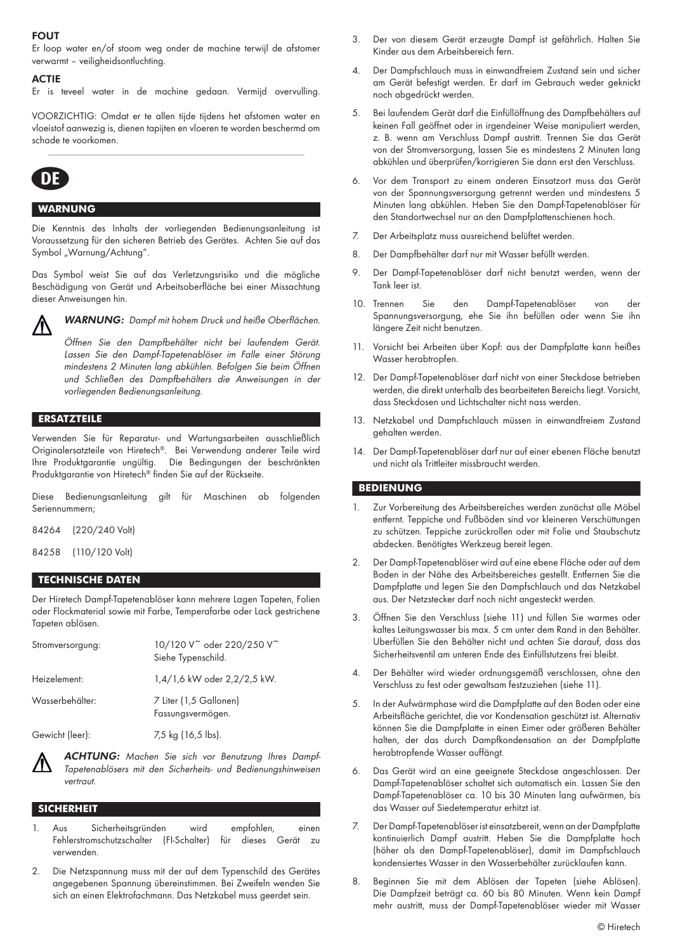## FOUT

Er loop water en/of stoom weg onder de machine terwijl de afstomer verwarmt – veiligheidsontluchting.

#### **ACTIE**

Er is teveel water in de machine gedaan. Vermijd overvulling.

VOORZICHTIG: Omdat er te allen tijde tijdens het afstomen water en vloeistof aanwezig is, dienen tapijten en vloeren te worden beschermd om schade te voorkomen.



## **WARNUNG**

Die Kenntnis des Inhalts der vorliegenden Bedienungsanleitung ist Voraussetzung für den sicheren Betrieb des Gerätes. Achten Sie auf das Symbol "Warnung/Achtung".

Das Symbol weist Sie auf das Verletzungsrisiko und die mögliche Beschädigung von Gerät und Arbeitsoberfläche bei einer Missachtung dieser Anweisungen hin.



WARNUNG: Dampf mit hohem Druck und heiße Oberflächen.

Öffnen Sie den Dampfbehälter nicht bei laufendem Gerät. Lassen Sie den Dampf-Tapetenablöser im Falle einer Störung mindestens 2 Minuten lang abkühlen. Befolgen Sie beim Öffnen und Schließen des Dampfbehälters die Anweisungen in der vorliegenden Bedienungsanleitung.

# **ERSATZTEILE**

Verwenden Sie für Reparatur- und Wartungsarbeiten ausschließlich Originalersatzteile von Hiretech®. Bei Verwendung anderer Teile wird Ihre Produktgarantie ungültig. Die Bedingungen der beschränkten Produktgarantie von Hiretech® finden Sie auf der Rückseite.

Diese Bedienungsanleitung gilt für Maschinen ab folgenden Seriennummern;

84264 (220/240 Volt)

84258 (110/120 Volt)

## **TECHNISCHE DATEN**

Der Hiretech Dampf-Tapetenablöser kann mehrere Lagen Tapeten, Folien oder Flockmaterial sowie mit Farbe, Temperafarbe oder Lack gestrichene Tapeten ablösen.

| Stromversorgung: | 10/120 V <sup>~</sup> oder 220/250 V <sup>~</sup><br>Siehe Typenschild. |
|------------------|-------------------------------------------------------------------------|
| Heizelement:     | 1,4/1,6 kW oder 2,2/2,5 kW.                                             |
| Wasserbehälter:  | 7 Liter (1,5 Gallonen)<br>Fassungsvermögen.                             |
| Gewicht (leer):  | 7,5 kg (16,5 lbs).                                                      |

ACHTUNG: Machen Sie sich vor Benutzung Ihres Dampf-Tapetenablösers mit den Sicherheits- und Bedienungshinweisen vertraut.

#### **SICHERHEIT**

- 1. Aus Sicherheitsgründen wird empfohlen, einen Fehlerstromschutzschalter (FI-Schalter) für dieses Gerät zu verwenden.
- 2. Die Netzspannung muss mit der auf dem Typenschild des Gerätes angegebenen Spannung übereinstimmen. Bei Zweifeln wenden Sie sich an einen Elektrofachmann. Das Netzkabel muss geerdet sein.
- 3. Der von diesem Gerät erzeugte Dampf ist gefährlich. Halten Sie Kinder aus dem Arbeitsbereich fern.
- 4. Der Dampfschlauch muss in einwandfreiem Zustand sein und sicher am Gerät befestigt werden. Er darf im Gebrauch weder geknickt noch abgedrückt werden.
- 5. Bei laufendem Gerät darf die Einfüllöffnung des Dampfbehälters auf keinen Fall geöffnet oder in irgendeiner Weise manipuliert werden, z. B. wenn am Verschluss Dampf austritt. Trennen Sie das Gerät von der Stromversorgung, lassen Sie es mindestens 2 Minuten lang abkühlen und überprüfen/korrigieren Sie dann erst den Verschluss.
- 6. Vor dem Transport zu einem anderen Einsatzort muss das Gerät von der Spannungsversorgung getrennt werden und mindestens 5 Minuten lang abkühlen. Heben Sie den Dampf-Tapetenablöser für den Standortwechsel nur an den Dampfplattenschienen hoch.
- 7. Der Arbeitsplatz muss ausreichend belüftet werden.
- 8. Der Dampfbehälter darf nur mit Wasser befüllt werden.
- 9. Der Dampf-Tapetenablöser darf nicht benutzt werden, wenn der Tank leer ist.
- 10. Trennen Sie den Dampf-Tapetenablöser von der Spannungsversorgung, ehe Sie ihn befüllen oder wenn Sie ihn längere Zeit nicht benutzen.
- 11. Vorsicht bei Arbeiten über Kopf: aus der Dampfplatte kann heißes Wasser herabtropfen.
- 12. Der Dampf-Tapetenablöser darf nicht von einer Steckdose betrieben werden, die direkt unterhalb des bearbeiteten Bereichs liegt. Vorsicht, dass Steckdosen und Lichtschalter nicht nass werden.
- 13. Netzkabel und Dampfschlauch müssen in einwandfreiem Zustand gehalten werden.
- 14. Der Dampf-Tapetenablöser darf nur auf einer ebenen Fläche benutzt und nicht als Trittleiter missbraucht werden.

## **BEDIENUNG**

- Zur Vorbereitung des Arbeitsbereiches werden zunächst alle Möbel entfernt. Teppiche und Fußböden sind vor kleineren Verschüttungen zu schützen. Teppiche zurückrollen oder mit Folie und Staubschutz abdecken. Benötigtes Werkzeug bereit legen.
- 2. Der Dampf-Tapetenablöser wird auf eine ebene Fläche oder auf dem Boden in der Nähe des Arbeitsbereiches gestellt. Entfernen Sie die Dampfplatte und legen Sie den Dampfschlauch und das Netzkabel aus. Der Netzstecker darf noch nicht angesteckt werden.
- 3. Öffnen Sie den Verschluss (siehe 11) und füllen Sie warmes oder kaltes Leitungswasser bis max. 5 cm unter dem Rand in den Behälter. Überfüllen Sie den Behälter nicht und achten Sie darauf, dass das Sicherheitsventil am unteren Ende des Einfüllstutzens frei bleibt.
- 4. Der Behälter wird wieder ordnungsgemäß verschlossen, ohne den Verschluss zu fest oder gewaltsam festzuziehen (siehe 11).
- 5. In der Aufwärmphase wird die Dampfplatte auf den Boden oder eine Arbeitsfläche gerichtet, die vor Kondensation geschützt ist. Alternativ können Sie die Dampfplatte in einen Eimer oder größeren Behälter halten, der das durch Dampfkondensation an der Dampfplatte herabtropfende Wasser auffängt.
- 6. Das Gerät wird an eine geeignete Steckdose angeschlossen. Der Dampf-Tapetenablöser schaltet sich automatisch ein. Lassen Sie den Dampf-Tapetenablöser ca. 10 bis 30 Minuten lang aufwärmen, bis das Wasser auf Siedetemperatur erhitzt ist.
- 7. Der Dampf-Tapetenablöser ist einsatzbereit, wenn an der Dampfplatte kontinuierlich Dampf austritt. Heben Sie die Dampfplatte hoch (höher als den Dampf-Tapetenablöser), damit im Dampfschlauch kondensiertes Wasser in den Wasserbehälter zurücklaufen kann.
- 8. Beginnen Sie mit dem Ablösen der Tapeten (siehe Ablösen). Die Dampfzeit beträgt ca. 60 bis 80 Minuten. Wenn kein Dampf mehr austritt, muss der Dampf-Tapetenablöser wieder mit Wasser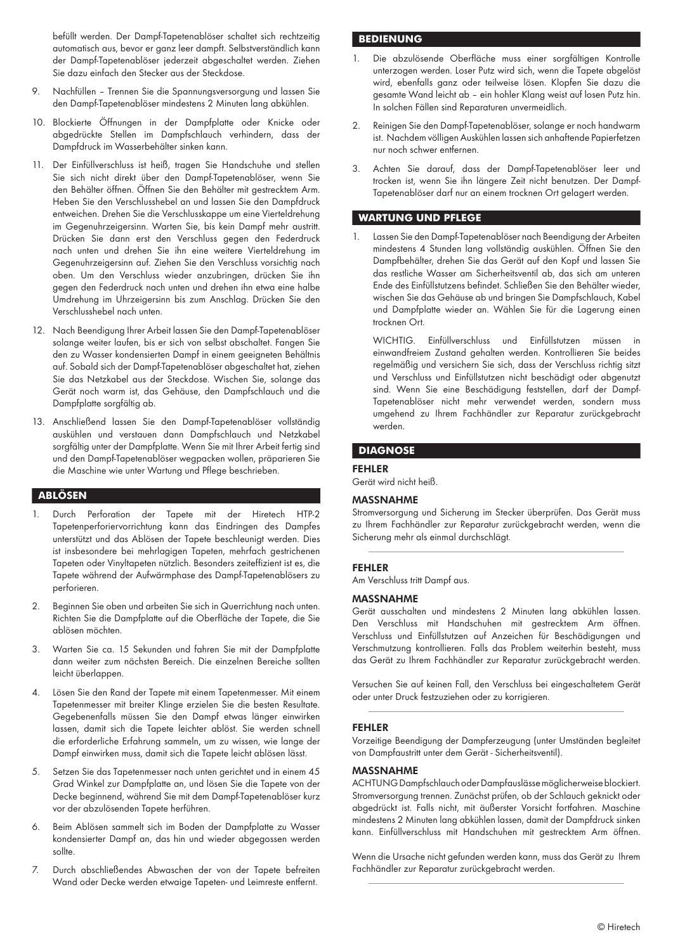befüllt werden. Der Dampf-Tapetenablöser schaltet sich rechtzeitig automatisch aus, bevor er ganz leer dampft. Selbstverständlich kann der Dampf-Tapetenablöser jederzeit abgeschaltet werden. Ziehen Sie dazu einfach den Stecker aus der Steckdose.

- 9. Nachfüllen Trennen Sie die Spannungsversorgung und lassen Sie den Dampf-Tapetenablöser mindestens 2 Minuten lang abkühlen.
- 10. Blockierte Öffnungen in der Dampfplatte oder Knicke oder abgedrückte Stellen im Dampfschlauch verhindern, dass der Dampfdruck im Wasserbehälter sinken kann.
- 11. Der Einfüllverschluss ist heiß, tragen Sie Handschuhe und stellen Sie sich nicht direkt über den Dampf-Tapetenablöser, wenn Sie den Behälter öffnen. Öffnen Sie den Behälter mit gestrecktem Arm. Heben Sie den Verschlusshebel an und lassen Sie den Dampfdruck entweichen. Drehen Sie die Verschlusskappe um eine Vierteldrehung im Gegenuhrzeigersinn. Warten Sie, bis kein Dampf mehr austritt. Drücken Sie dann erst den Verschluss gegen den Federdruck nach unten und drehen Sie ihn eine weitere Vierteldrehung im Gegenuhrzeigersinn auf. Ziehen Sie den Verschluss vorsichtig nach oben. Um den Verschluss wieder anzubringen, drücken Sie ihn gegen den Federdruck nach unten und drehen ihn etwa eine halbe Umdrehung im Uhrzeigersinn bis zum Anschlag. Drücken Sie den Verschlusshebel nach unten.
- 12. Nach Beendigung Ihrer Arbeit lassen Sie den Dampf-Tapetenablöser solange weiter laufen, bis er sich von selbst abschaltet. Fangen Sie den zu Wasser kondensierten Dampf in einem geeigneten Behältnis auf. Sobald sich der Dampf-Tapetenablöser abgeschaltet hat, ziehen Sie das Netzkabel aus der Steckdose. Wischen Sie, solange das Gerät noch warm ist, das Gehäuse, den Dampfschlauch und die Dampfplatte sorgfältig ab.
- 13. Anschließend lassen Sie den Dampf-Tapetenablöser vollständig auskühlen und verstauen dann Dampfschlauch und Netzkabel sorgfältig unter der Dampfplatte. Wenn Sie mit Ihrer Arbeit fertig sind und den Dampf-Tapetenablöser wegpacken wollen, präparieren Sie die Maschine wie unter Wartung und Pflege beschrieben.

## **ABLÖSEN**

- 1. Durch Perforation der Tapete mit der Hiretech HTP-2 Tapetenperforiervorrichtung kann das Eindringen des Dampfes unterstützt und das Ablösen der Tapete beschleunigt werden. Dies ist insbesondere bei mehrlagigen Tapeten, mehrfach gestrichenen Tapeten oder Vinyltapeten nützlich. Besonders zeiteffizient ist es, die Tapete während der Aufwärmphase des Dampf-Tapetenablösers zu perforieren.
- 2. Beginnen Sie oben und arbeiten Sie sich in Querrichtung nach unten. Richten Sie die Dampfplatte auf die Oberfläche der Tapete, die Sie ablösen möchten.
- 3. Warten Sie ca. 15 Sekunden und fahren Sie mit der Dampfplatte dann weiter zum nächsten Bereich. Die einzelnen Bereiche sollten leicht überlappen.
- 4. Lösen Sie den Rand der Tapete mit einem Tapetenmesser. Mit einem Tapetenmesser mit breiter Klinge erzielen Sie die besten Resultate. Gegebenenfalls müssen Sie den Dampf etwas länger einwirken lassen, damit sich die Tapete leichter ablöst. Sie werden schnell die erforderliche Erfahrung sammeln, um zu wissen, wie lange der Dampf einwirken muss, damit sich die Tapete leicht ablösen lässt.
- 5. Setzen Sie das Tapetenmesser nach unten gerichtet und in einem 45 Grad Winkel zur Dampfplatte an, und lösen Sie die Tapete von der Decke beginnend, während Sie mit dem Dampf-Tapetenablöser kurz vor der abzulösenden Tapete herführen.
- 6. Beim Ablösen sammelt sich im Boden der Dampfplatte zu Wasser kondensierter Dampf an, das hin und wieder abgegossen werden sollte.
- 7. Durch abschließendes Abwaschen der von der Tapete befreiten Wand oder Decke werden etwaige Tapeten- und Leimreste entfernt.

## **BEDIENUNG**

- 1. Die abzulösende Oberfläche muss einer sorgfältigen Kontrolle unterzogen werden. Loser Putz wird sich, wenn die Tapete abgelöst wird, ebenfalls ganz oder teilweise lösen. Klopfen Sie dazu die gesamte Wand leicht ab – ein hohler Klang weist auf losen Putz hin. In solchen Fällen sind Reparaturen unvermeidlich.
- 2. Reinigen Sie den Dampf-Tapetenablöser, solange er noch handwarm ist. Nachdem völligen Auskühlen lassen sich anhaftende Papierfetzen nur noch schwer entfernen.
- 3. Achten Sie darauf, dass der Dampf-Tapetenablöser leer und trocken ist, wenn Sie ihn längere Zeit nicht benutzen. Der Dampf-Tapetenablöser darf nur an einem trocknen Ort gelagert werden.

# **WARTUNG UND PFLEGE**

1. Lassen Sie den Dampf-Tapetenablöser nach Beendigung der Arbeiten mindestens 4 Stunden lang vollständig auskühlen. Öffnen Sie den Dampfbehälter, drehen Sie das Gerät auf den Kopf und lassen Sie das restliche Wasser am Sicherheitsventil ab, das sich am unteren Ende des Einfüllstutzens befindet. Schließen Sie den Behälter wieder, wischen Sie das Gehäuse ab und bringen Sie Dampfschlauch, Kabel und Dampfplatte wieder an. Wählen Sie für die Lagerung einen trocknen Ort.

WICHTIG. Einfüllverschluss und Einfüllstutzen müssen einwandfreiem Zustand gehalten werden. Kontrollieren Sie beides regelmäßig und versichern Sie sich, dass der Verschluss richtig sitzt und Verschluss und Einfüllstutzen nicht beschädigt oder abgenutzt sind. Wenn Sie eine Beschädigung feststellen, darf der Dampf-Tapetenablöser nicht mehr verwendet werden, sondern muss umgehend zu Ihrem Fachhändler zur Reparatur zurückgebracht werden.

## **DIAGNOSE**

#### FEHLER

Gerät wird nicht heiß.

#### MASSNAHME

Stromversorgung und Sicherung im Stecker überprüfen. Das Gerät muss zu Ihrem Fachhändler zur Reparatur zurückgebracht werden, wenn die Sicherung mehr als einmal durchschlägt.

#### FEHLER

Am Verschluss tritt Dampf aus.

#### MASSNAHME

Gerät ausschalten und mindestens 2 Minuten lang abkühlen lassen. Den Verschluss mit Handschuhen mit gestrecktem Arm öffnen. Verschluss und Einfüllstutzen auf Anzeichen für Beschädigungen und Verschmutzung kontrollieren. Falls das Problem weiterhin besteht, muss das Gerät zu Ihrem Fachhändler zur Reparatur zurückgebracht werden.

Versuchen Sie auf keinen Fall, den Verschluss bei eingeschaltetem Gerät oder unter Druck festzuziehen oder zu korrigieren.

#### FEHLER

Vorzeitige Beendigung der Dampferzeugung (unter Umständen begleitet von Dampfaustritt unter dem Gerät - Sicherheitsventil).

#### MASSNAHME

ACHTUNG Dampfschlauch oder Dampfauslässe möglicherweise blockiert. Stromversorgung trennen. Zunächst prüfen, ob der Schlauch geknickt oder abgedrückt ist. Falls nicht, mit äußerster Vorsicht fortfahren. Maschine mindestens 2 Minuten lang abkühlen lassen, damit der Dampfdruck sinken kann. Einfüllverschluss mit Handschuhen mit gestrecktem Arm öffnen.

Wenn die Ursache nicht gefunden werden kann, muss das Gerät zu Ihrem Fachhändler zur Reparatur zurückgebracht werden.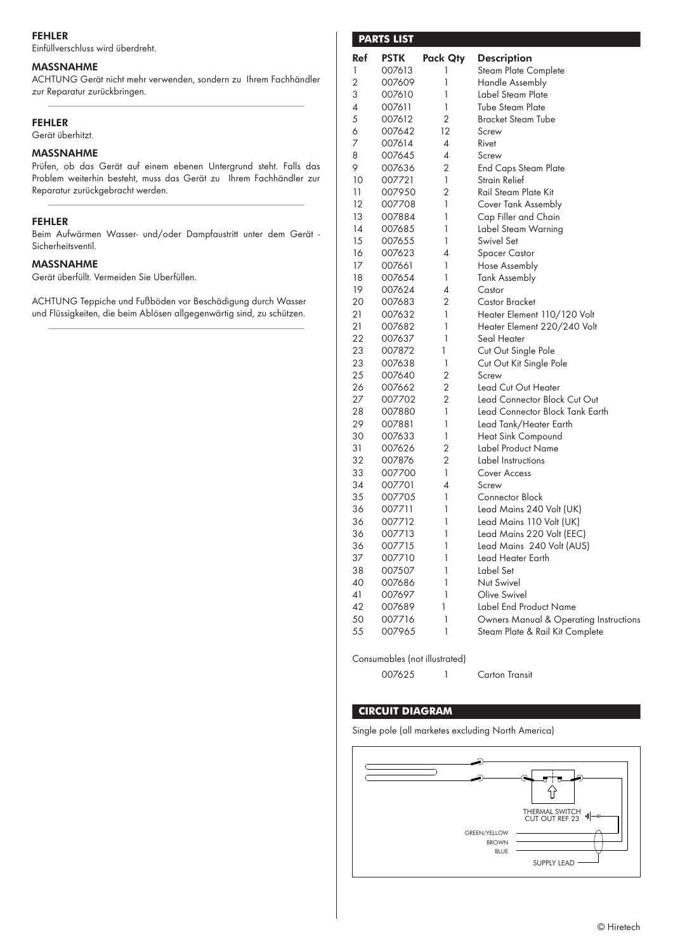## FEHLER

Einfüllverschluss wird überdreht.

## MASSNAHME

ACHTUNG Gerät nicht mehr verwenden, sondern zu Ihrem Fachhändler zur Reparatur zurückbringen.

# FEHLER

Gerät überhitzt.

# MASSNAHME

Prüfen, ob das Gerät auf einem ebenen Untergrund steht. Falls das Problem weiterhin besteht, muss das Gerät zu Ihrem Fachhändler zur Reparatur zurückgebracht werden.

# FEHLER

Beim Aufwärmen Wasser- und/oder Dampfaustritt unter dem Gerät - Sicherheitsventil.

## MASSNAHME

Gerät überfüllt. Vermeiden Sie Überfüllen.

ACHTUNG Teppiche und Fußböden vor Beschädigung durch Wasser und Flüssigkeiten, die beim Ablösen allgegenwärtig sind, zu schützen.

|            | <b>PARTS LIST</b> |              |                                        |
|------------|-------------------|--------------|----------------------------------------|
| <b>Ref</b> | <b>PSTK</b>       | Pack Qty     | <b>Description</b>                     |
| 1          | 007613            | 1            | <b>Steam Plate Complete</b>            |
| 2          | 007609            | 1            | <b>Handle Assembly</b>                 |
| 3          | 007610            | 1            | Label Steam Plate                      |
| 4          | 007611            | 1            | Tube Steam Plate                       |
| 5          | 007612            | 2            | Bracket Steam Tube                     |
| 6          | 007642            | 12           | Screw                                  |
| 7          | 007614            | 4            | Rivet                                  |
| 8          | 007645            | 4            | Screw                                  |
| 9          | 007636            | 2            | <b>End Caps Steam Plate</b>            |
| 10         | 007721            | 1            | Strain Relief                          |
| 11         | 007950            | 2            | Rail Steam Plate Kit                   |
| 12         | 007708            | 1            | Cover Tank Assembly                    |
| 13         | 007884            | 1            | Cap Filler and Chain                   |
| 14         | 007685            | 1            | Label Steam Warning                    |
| 15         | 007655            | 1            | Swivel Set                             |
| 16         | 007623            | 4            | <b>Spacer Castor</b>                   |
| 17         | 007661            | 1            | Hose Assembly                          |
| 18         | 007654            | 1            | <b>Tank Assembly</b>                   |
| 19         | 007624            | 4            | Castor                                 |
| 20         | 007683            | 2            | Castor Bracket                         |
| 21         | 007632            | 1            | Heater Element 110/120 Volt            |
| 21         | 007682            | $\mathbf{1}$ | Heater Element 220/240 Volt            |
| 22         | 007637            | 1            | Seal Heater                            |
| 23         | 007872            | 1            | Cut Out Single Pole                    |
| 23         | 007638            | 1            | Cut Out Kit Single Pole                |
| 25         | 007640            | 2            | Screw                                  |
| 26         | 007662            | 2            | Lead Cut Out Heater                    |
| 27         | 007702            | 2            | Lead Connector Block Cut Out           |
| 28         | 007880            | 1            | Lead Connector Block Tank Earth        |
| 29         | 007881            | 1            | Lead Tank/Heater Earth                 |
| 30         | 007633            | 1            | Heat Sink Compound                     |
| 31         | 007626            | 2            | Label Product Name                     |
| 32         | 007876            | 2            | Label Instructions                     |
| 33         | 007700            | 1            | <b>Cover Access</b>                    |
| 34         | 007701            | 4            | Screw                                  |
| 35         | 007705            | 1            | Connector Block                        |
| 36         | 007711            | 1            | Lead Mains 240 Volt (UK)               |
| 36         | 007712            | 1            | Lead Mains 110 Volt (UK)               |
|            | 007713            |              |                                        |
| 36         |                   | 1            | Lead Mains 220 Volt (EEC)              |
| 36         | 007715            | 1<br>1       | Lead Mains 240 Volt (AUS)              |
| 37         | 007710            | 1            | Lead Heater Earth<br>Label Set         |
| 38         | 007507            |              |                                        |
| 40         | 007686            | 1            | Nut Swivel                             |
| 41         | 007697            | 1            | Olive Swivel                           |
| 42         | 007689            | 1            | <b>Label End Product Name</b>          |
| 50         | 007716            | 1            | Owners Manual & Operating Instructions |
| 55         | 007965            | 1            | Steam Plate & Rail Kit Complete        |

Consumables (not illustrated)

007625 1 Carton Transit

# **CIRCUIT DIAGRAM**

Single pole (all marketes excluding North America)

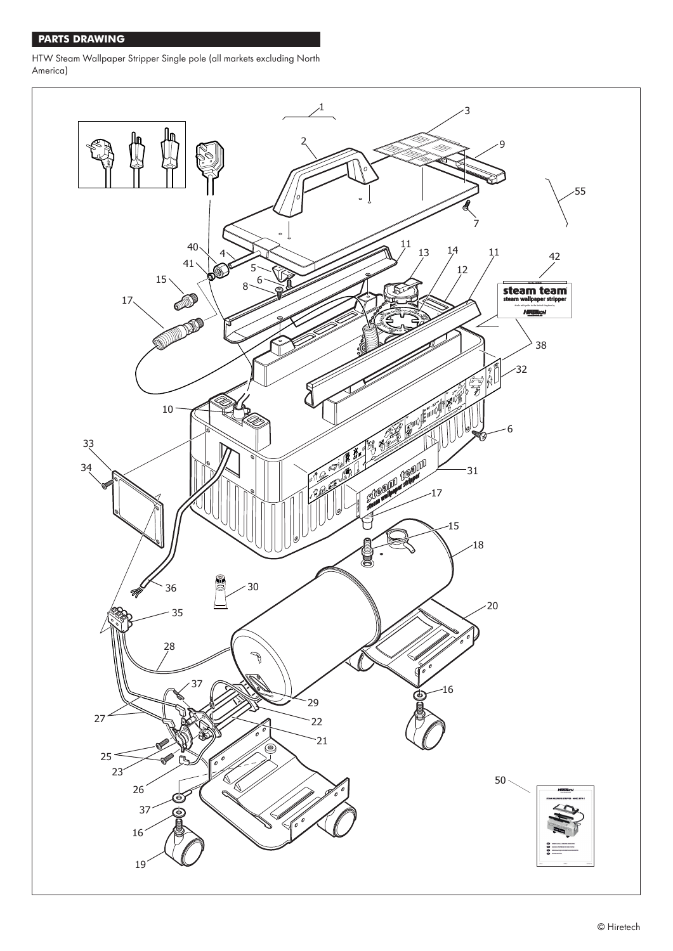# **PARTS DRAWING**

HTW Steam Wallpaper Stripper Single pole (all markets excluding North America)